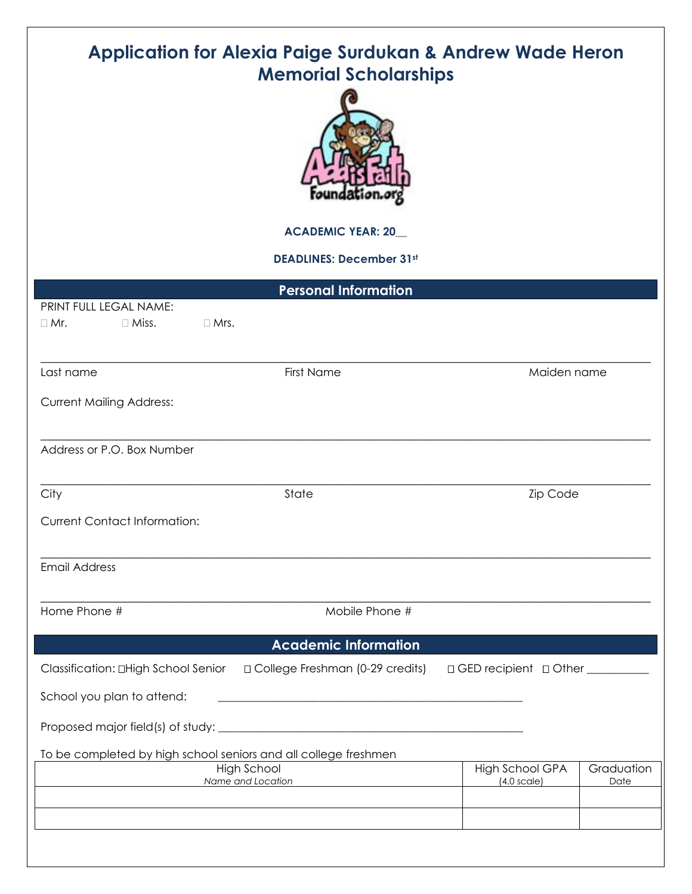| <b>Application for Alexia Paige Surdukan &amp; Andrew Wade Heron</b><br><b>Memorial Scholarships</b><br><b>ACADEMIC YEAR: 20_</b><br><b>DEADLINES: December 31st</b> |                                                                                                       |  |                                   |            |  |  |
|----------------------------------------------------------------------------------------------------------------------------------------------------------------------|-------------------------------------------------------------------------------------------------------|--|-----------------------------------|------------|--|--|
|                                                                                                                                                                      |                                                                                                       |  |                                   |            |  |  |
| PRINT FULL LEGAL NAME:<br>$\Box$ Miss.<br>$\Box$ Mr.<br>$\Box$ Mrs.                                                                                                  | <b>Personal Information</b>                                                                           |  |                                   |            |  |  |
| Last name                                                                                                                                                            | First Name                                                                                            |  | Maiden name                       |            |  |  |
| <b>Current Mailing Address:</b>                                                                                                                                      |                                                                                                       |  |                                   |            |  |  |
| Address or P.O. Box Number                                                                                                                                           |                                                                                                       |  |                                   |            |  |  |
| City<br><b>Current Contact Information:</b>                                                                                                                          | State                                                                                                 |  | Zip Code                          |            |  |  |
| <b>Email Address</b>                                                                                                                                                 |                                                                                                       |  |                                   |            |  |  |
| Home Phone #                                                                                                                                                         | Mobile Phone #                                                                                        |  |                                   |            |  |  |
|                                                                                                                                                                      | <b>Academic Information</b>                                                                           |  |                                   |            |  |  |
| Classification: <b>OHigh School Senior</b><br>School you plan to attend:                                                                                             | □ College Freshman (0-29 credits)<br><u> 1980 - Jan James James Barnett, fransk politik (d. 1980)</u> |  | □ GED recipient □ Other _________ |            |  |  |
|                                                                                                                                                                      |                                                                                                       |  |                                   |            |  |  |
| To be completed by high school seniors and all college freshmen                                                                                                      | <b>High School</b>                                                                                    |  | <b>High School GPA</b>            | Graduation |  |  |
|                                                                                                                                                                      | Name and Location                                                                                     |  | $(4.0 \text{ scale})$             | Date       |  |  |
|                                                                                                                                                                      |                                                                                                       |  |                                   |            |  |  |
|                                                                                                                                                                      |                                                                                                       |  |                                   |            |  |  |
|                                                                                                                                                                      |                                                                                                       |  |                                   |            |  |  |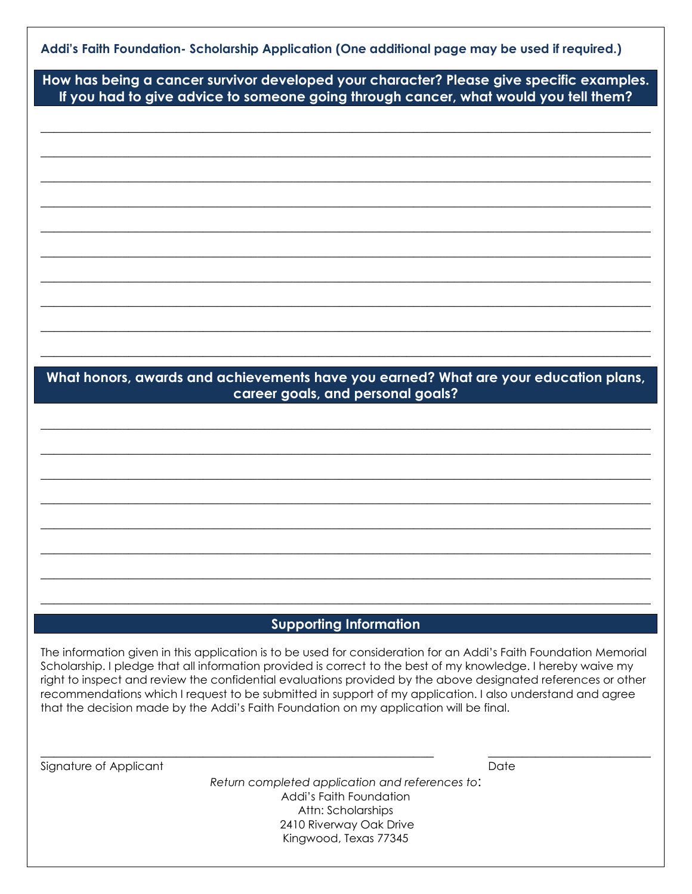**How has being a cancer survivor developed your character? Please give specific examples. If you had to give advice to someone going through cancer, what would you tell them?** 

**\_\_\_\_\_\_\_\_\_\_\_\_\_\_\_\_\_\_\_\_\_\_\_\_\_\_\_\_\_\_\_\_\_\_\_\_\_\_\_\_\_\_\_\_\_\_\_\_\_\_\_\_\_\_\_\_\_\_\_\_\_\_\_\_\_\_\_\_\_\_\_\_\_\_\_\_\_\_\_\_\_\_\_\_\_\_\_\_\_\_** 

**\_\_\_\_\_\_\_\_\_\_\_\_\_\_\_\_\_\_\_\_\_\_\_\_\_\_\_\_\_\_\_\_\_\_\_\_\_\_\_\_\_\_\_\_\_\_\_\_\_\_\_\_\_\_\_\_\_\_\_\_\_\_\_\_\_\_\_\_\_\_\_\_\_\_\_\_\_\_\_\_\_\_\_\_\_\_\_\_\_\_** 

**\_\_\_\_\_\_\_\_\_\_\_\_\_\_\_\_\_\_\_\_\_\_\_\_\_\_\_\_\_\_\_\_\_\_\_\_\_\_\_\_\_\_\_\_\_\_\_\_\_\_\_\_\_\_\_\_\_\_\_\_\_\_\_\_\_\_\_\_\_\_\_\_\_\_\_\_\_\_\_\_\_\_\_\_\_\_\_\_\_\_** 

**\_\_\_\_\_\_\_\_\_\_\_\_\_\_\_\_\_\_\_\_\_\_\_\_\_\_\_\_\_\_\_\_\_\_\_\_\_\_\_\_\_\_\_\_\_\_\_\_\_\_\_\_\_\_\_\_\_\_\_\_\_\_\_\_\_\_\_\_\_\_\_\_\_\_\_\_\_\_\_\_\_\_\_\_\_\_\_\_\_\_** 

**\_\_\_\_\_\_\_\_\_\_\_\_\_\_\_\_\_\_\_\_\_\_\_\_\_\_\_\_\_\_\_\_\_\_\_\_\_\_\_\_\_\_\_\_\_\_\_\_\_\_\_\_\_\_\_\_\_\_\_\_\_\_\_\_\_\_\_\_\_\_\_\_\_\_\_\_\_\_\_\_\_\_\_\_\_\_\_\_\_\_** 

**\_\_\_\_\_\_\_\_\_\_\_\_\_\_\_\_\_\_\_\_\_\_\_\_\_\_\_\_\_\_\_\_\_\_\_\_\_\_\_\_\_\_\_\_\_\_\_\_\_\_\_\_\_\_\_\_\_\_\_\_\_\_\_\_\_\_\_\_\_\_\_\_\_\_\_\_\_\_\_\_\_\_\_\_\_\_\_\_\_\_** 

**\_\_\_\_\_\_\_\_\_\_\_\_\_\_\_\_\_\_\_\_\_\_\_\_\_\_\_\_\_\_\_\_\_\_\_\_\_\_\_\_\_\_\_\_\_\_\_\_\_\_\_\_\_\_\_\_\_\_\_\_\_\_\_\_\_\_\_\_\_\_\_\_\_\_\_\_\_\_\_\_\_\_\_\_\_\_\_\_\_\_** 

**\_\_\_\_\_\_\_\_\_\_\_\_\_\_\_\_\_\_\_\_\_\_\_\_\_\_\_\_\_\_\_\_\_\_\_\_\_\_\_\_\_\_\_\_\_\_\_\_\_\_\_\_\_\_\_\_\_\_\_\_\_\_\_\_\_\_\_\_\_\_\_\_\_\_\_\_\_\_\_\_\_\_\_\_\_\_\_\_\_\_** 

**\_\_\_\_\_\_\_\_\_\_\_\_\_\_\_\_\_\_\_\_\_\_\_\_\_\_\_\_\_\_\_\_\_\_\_\_\_\_\_\_\_\_\_\_\_\_\_\_\_\_\_\_\_\_\_\_\_\_\_\_\_\_\_\_\_\_\_\_\_\_\_\_\_\_\_\_\_\_\_\_\_\_\_\_\_\_\_\_\_\_** 

**\_\_\_\_\_\_\_\_\_\_\_\_\_\_\_\_\_\_\_\_\_\_\_\_\_\_\_\_\_\_\_\_\_\_\_\_\_\_\_\_\_\_\_\_\_\_\_\_\_\_\_\_\_\_\_\_\_\_\_\_\_\_\_\_\_\_\_\_\_\_\_\_\_\_\_\_\_\_\_\_\_\_\_\_\_\_\_\_\_\_** 

## **What honors, awards and achievements have you earned? What are your education plans, career goals, and personal goals?**

**\_\_\_\_\_\_\_\_\_\_\_\_\_\_\_\_\_\_\_\_\_\_\_\_\_\_\_\_\_\_\_\_\_\_\_\_\_\_\_\_\_\_\_\_\_\_\_\_\_\_\_\_\_\_\_\_\_\_\_\_\_\_\_\_\_\_\_\_\_\_\_\_\_\_\_\_\_\_\_\_\_\_\_\_\_\_\_\_\_\_** 

**\_\_\_\_\_\_\_\_\_\_\_\_\_\_\_\_\_\_\_\_\_\_\_\_\_\_\_\_\_\_\_\_\_\_\_\_\_\_\_\_\_\_\_\_\_\_\_\_\_\_\_\_\_\_\_\_\_\_\_\_\_\_\_\_\_\_\_\_\_\_\_\_\_\_\_\_\_\_\_\_\_\_\_\_\_\_\_\_\_\_** 

**\_\_\_\_\_\_\_\_\_\_\_\_\_\_\_\_\_\_\_\_\_\_\_\_\_\_\_\_\_\_\_\_\_\_\_\_\_\_\_\_\_\_\_\_\_\_\_\_\_\_\_\_\_\_\_\_\_\_\_\_\_\_\_\_\_\_\_\_\_\_\_\_\_\_\_\_\_\_\_\_\_\_\_\_\_\_\_\_\_\_** 

**\_\_\_\_\_\_\_\_\_\_\_\_\_\_\_\_\_\_\_\_\_\_\_\_\_\_\_\_\_\_\_\_\_\_\_\_\_\_\_\_\_\_\_\_\_\_\_\_\_\_\_\_\_\_\_\_\_\_\_\_\_\_\_\_\_\_\_\_\_\_\_\_\_\_\_\_\_\_\_\_\_\_\_\_\_\_\_\_\_\_** 

**\_\_\_\_\_\_\_\_\_\_\_\_\_\_\_\_\_\_\_\_\_\_\_\_\_\_\_\_\_\_\_\_\_\_\_\_\_\_\_\_\_\_\_\_\_\_\_\_\_\_\_\_\_\_\_\_\_\_\_\_\_\_\_\_\_\_\_\_\_\_\_\_\_\_\_\_\_\_\_\_\_\_\_\_\_\_\_\_\_\_** 

**\_\_\_\_\_\_\_\_\_\_\_\_\_\_\_\_\_\_\_\_\_\_\_\_\_\_\_\_\_\_\_\_\_\_\_\_\_\_\_\_\_\_\_\_\_\_\_\_\_\_\_\_\_\_\_\_\_\_\_\_\_\_\_\_\_\_\_\_\_\_\_\_\_\_\_\_\_\_\_\_\_\_\_\_\_\_\_\_\_\_** 

**\_\_\_\_\_\_\_\_\_\_\_\_\_\_\_\_\_\_\_\_\_\_\_\_\_\_\_\_\_\_\_\_\_\_\_\_\_\_\_\_\_\_\_\_\_\_\_\_\_\_\_\_\_\_\_\_\_\_\_\_\_\_\_\_\_\_\_\_\_\_\_\_\_\_\_\_\_\_\_\_\_\_\_\_\_\_\_\_\_\_** 

**\_\_\_\_\_\_\_\_\_\_\_\_\_\_\_\_\_\_\_\_\_\_\_\_\_\_\_\_\_\_\_\_\_\_\_\_\_\_\_\_\_\_\_\_\_\_\_\_\_\_\_\_\_\_\_\_\_\_\_\_\_\_\_\_\_\_\_\_\_\_\_\_\_\_\_\_\_\_\_\_\_\_\_\_\_\_\_\_\_\_** 

## **Supporting Information**

The information given in this application is to be used for consideration for an Addi's Faith Foundation Memorial Scholarship. I pledge that all information provided is correct to the best of my knowledge. I hereby waive my right to inspect and review the confidential evaluations provided by the above designated references or other recommendations which I request to be submitted in support of my application. I also understand and agree that the decision made by the Addi's Faith Foundation on my application will be final.

Signature of Applicant Date of Applicant Date of Applicant Date of Applicant Date of Applicant Date of Applicant Date of Applicant Date of Applicant Date of Applicant Date of Applicant Date of Applicant Date of Applicant D

*Return completed application and references to*: Addi's Faith Foundation Attn: Scholarships 2410 Riverway Oak Drive Kingwood, Texas 77345

 $\_$  , and the set of the set of the set of the set of the set of the set of the set of the set of the set of the set of the set of the set of the set of the set of the set of the set of the set of the set of the set of th